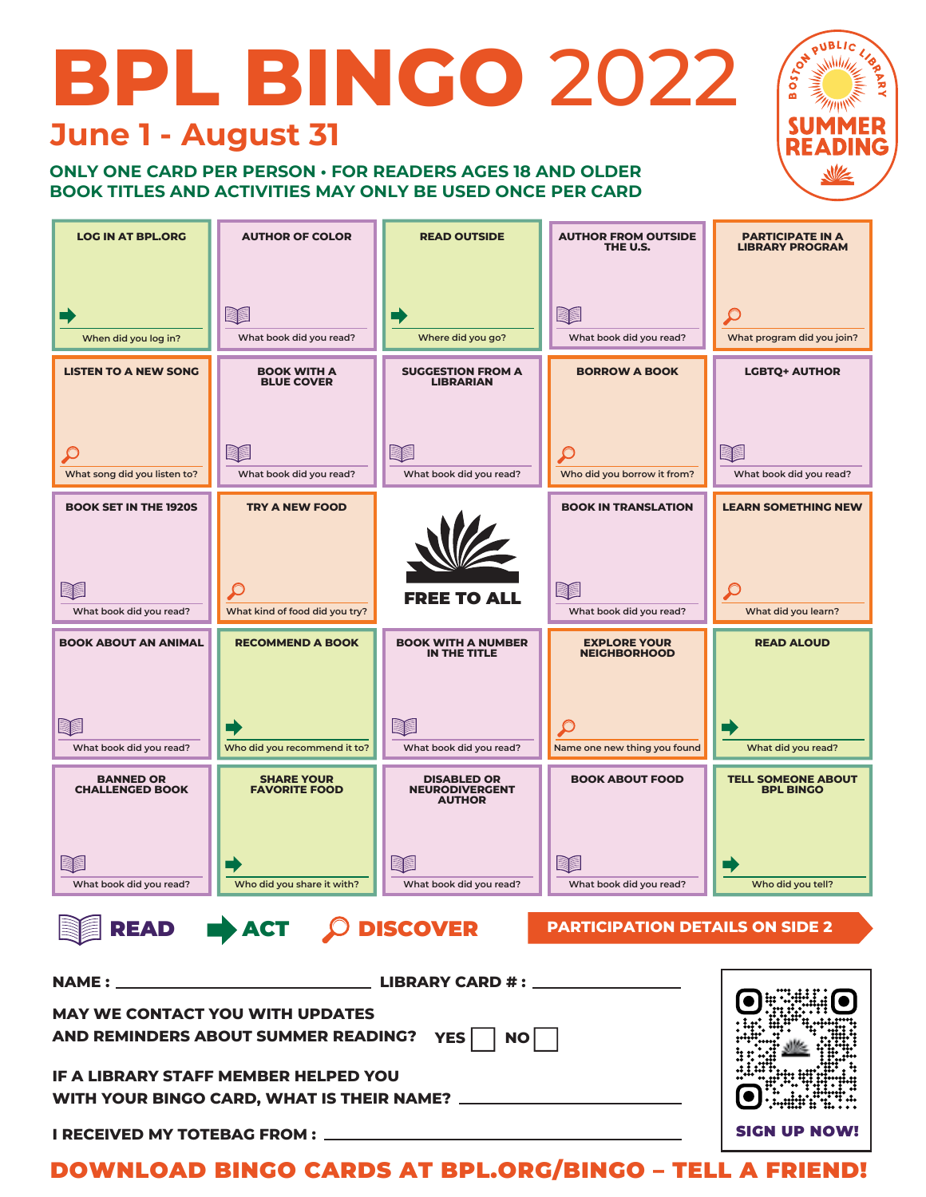# **BPL BINGO** 2022 **June 1 - August 31**

### **ONLY ONE CARD PER PERSON • FOR READERS AGES 18 AND OLDER BOOK TITLES AND ACTIVITIES MAY ONLY BE USED ONCE PER CARD**



SIGN UP NOW!

0 4



DOWNLOAD BINGO CARDS AT BPL.ORG/BINGO – TELL A FRIEND!

YES | NO

**IF A LIBRARY STAFF MEMBER HELPED YOU** 

**I RECEIVED MY TOTEBAG FROM :**

**AND REMINDERS ABOUT SUMMER READING?**

**WITH YOUR BINGO CARD, WHAT IS THEIR NAME?**